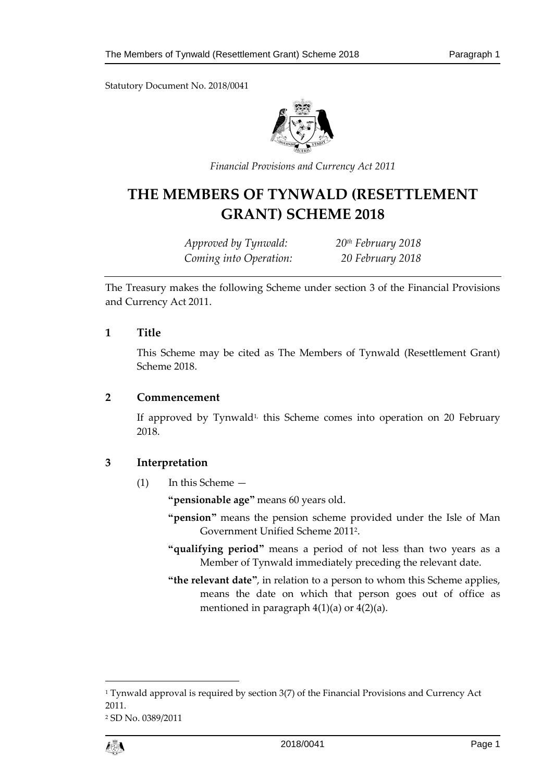Statutory Document No. 2018/0041



*Financial Provisions and Currency Act 2011*

# **THE MEMBERS OF TYNWALD (RESETTLEMENT GRANT) SCHEME 2018**

*Approved by Tynwald: 20th February 2018 Coming into Operation: 20 February 2018*

The Treasury makes the following Scheme under section 3 of the Financial Provisions and Currency Act 2011.

#### **1 Title**

This Scheme may be cited as The Members of Tynwald (Resettlement Grant) Scheme 2018.

#### **2 Commencement**

If approved by Tynwald<sup>1,</sup> this Scheme comes into operation on 20 February 2018.

# **3 Interpretation**

(1) In this Scheme —

**"pensionable age"** means 60 years old.

- **"pension"** means the pension scheme provided under the Isle of Man Government Unified Scheme 2011<sup>2</sup> .
- **"qualifying period"** means a period of not less than two years as a Member of Tynwald immediately preceding the relevant date.
- **"the relevant date"**, in relation to a person to whom this Scheme applies, means the date on which that person goes out of office as mentioned in paragraph 4(1)(a) or 4(2)(a).

<sup>2</sup> SD No. 0389/2011



1

<sup>&</sup>lt;sup>1</sup> Tynwald approval is required by section 3(7) of the Financial Provisions and Currency Act 2011.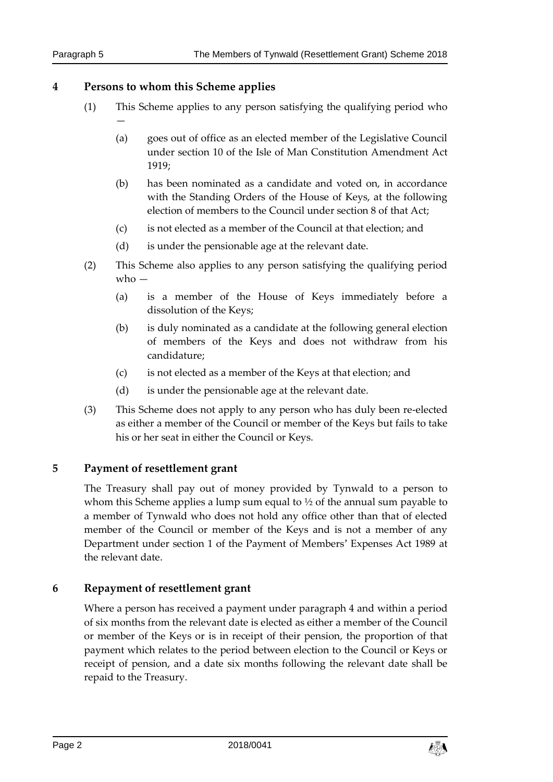#### **4 Persons to whom this Scheme applies**

—

- (1) This Scheme applies to any person satisfying the qualifying period who
	- (a) goes out of office as an elected member of the Legislative Council under section 10 of the Isle of Man Constitution Amendment Act 1919;
	- (b) has been nominated as a candidate and voted on, in accordance with the Standing Orders of the House of Keys, at the following election of members to the Council under section 8 of that Act;
	- (c) is not elected as a member of the Council at that election; and
	- (d) is under the pensionable age at the relevant date.
- (2) This Scheme also applies to any person satisfying the qualifying period who —
	- (a) is a member of the House of Keys immediately before a dissolution of the Keys;
	- (b) is duly nominated as a candidate at the following general election of members of the Keys and does not withdraw from his candidature;
	- (c) is not elected as a member of the Keys at that election; and
	- (d) is under the pensionable age at the relevant date.
- (3) This Scheme does not apply to any person who has duly been re-elected as either a member of the Council or member of the Keys but fails to take his or her seat in either the Council or Keys.

# **5 Payment of resettlement grant**

The Treasury shall pay out of money provided by Tynwald to a person to whom this Scheme applies a lump sum equal to <sup>1</sup>/2 of the annual sum payable to a member of Tynwald who does not hold any office other than that of elected member of the Council or member of the Keys and is not a member of any Department under section 1 of the Payment of Members' Expenses Act 1989 at the relevant date.

# **6 Repayment of resettlement grant**

Where a person has received a payment under paragraph 4 and within a period of six months from the relevant date is elected as either a member of the Council or member of the Keys or is in receipt of their pension, the proportion of that payment which relates to the period between election to the Council or Keys or receipt of pension, and a date six months following the relevant date shall be repaid to the Treasury.

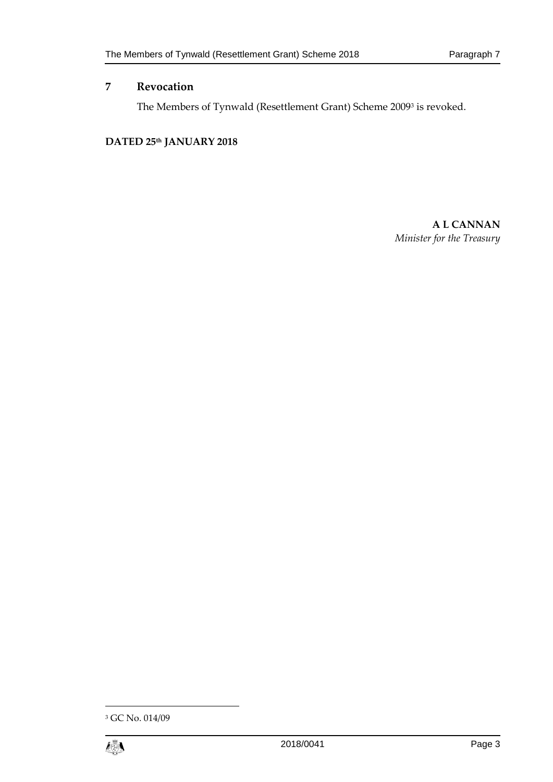## **7 Revocation**

The Members of Tynwald (Resettlement Grant) Scheme 2009<sup>3</sup> is revoked.

#### **DATED 25th JANUARY 2018**

**A L CANNAN** *Minister for the Treasury*

<sup>3</sup> GC No. 014/09



1